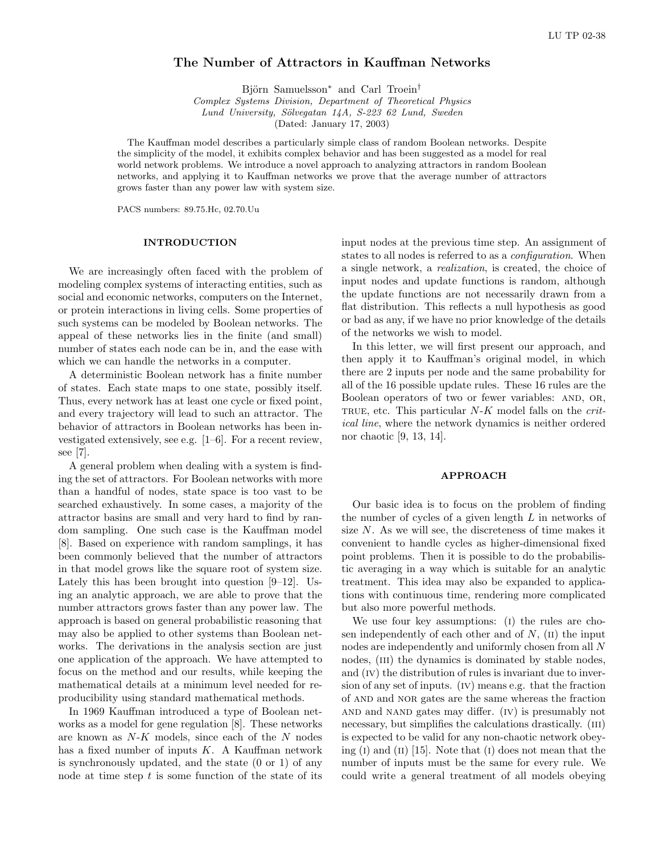# The Number of Attractors in Kauffman Networks

Björn Samuelsson<sup>∗</sup> and Carl Troein<sup>†</sup>

Complex Systems Division, Department of Theoretical Physics Lund University, Sölvegatan 14A, S-223 62 Lund, Sweden

(Dated: January 17, 2003)

The Kauffman model describes a particularly simple class of random Boolean networks. Despite the simplicity of the model, it exhibits complex behavior and has been suggested as a model for real world network problems. We introduce a novel approach to analyzing attractors in random Boolean networks, and applying it to Kauffman networks we prove that the average number of attractors grows faster than any power law with system size.

PACS numbers: 89.75.Hc, 02.70.Uu

## INTRODUCTION

We are increasingly often faced with the problem of modeling complex systems of interacting entities, such as social and economic networks, computers on the Internet, or protein interactions in living cells. Some properties of such systems can be modeled by Boolean networks. The appeal of these networks lies in the finite (and small) number of states each node can be in, and the ease with which we can handle the networks in a computer.

A deterministic Boolean network has a finite number of states. Each state maps to one state, possibly itself. Thus, every network has at least one cycle or fixed point, and every trajectory will lead to such an attractor. The behavior of attractors in Boolean networks has been investigated extensively, see e.g. [1–6]. For a recent review, see [7].

A general problem when dealing with a system is finding the set of attractors. For Boolean networks with more than a handful of nodes, state space is too vast to be searched exhaustively. In some cases, a majority of the attractor basins are small and very hard to find by random sampling. One such case is the Kauffman model [8]. Based on experience with random samplings, it has been commonly believed that the number of attractors in that model grows like the square root of system size. Lately this has been brought into question [9–12]. Using an analytic approach, we are able to prove that the number attractors grows faster than any power law. The approach is based on general probabilistic reasoning that may also be applied to other systems than Boolean networks. The derivations in the analysis section are just one application of the approach. We have attempted to focus on the method and our results, while keeping the mathematical details at a minimum level needed for reproducibility using standard mathematical methods.

In 1969 Kauffman introduced a type of Boolean networks as a model for gene regulation [8]. These networks are known as  $N-K$  models, since each of the  $N$  nodes has a fixed number of inputs  $K$ . A Kauffman network is synchronously updated, and the state (0 or 1) of any node at time step  $t$  is some function of the state of its

input nodes at the previous time step. An assignment of states to all nodes is referred to as a configuration. When a single network, a realization, is created, the choice of input nodes and update functions is random, although the update functions are not necessarily drawn from a flat distribution. This reflects a null hypothesis as good or bad as any, if we have no prior knowledge of the details of the networks we wish to model.

In this letter, we will first present our approach, and then apply it to Kauffman's original model, in which there are 2 inputs per node and the same probability for all of the 16 possible update rules. These 16 rules are the Boolean operators of two or fewer variables: AND, OR, TRUE, etc. This particular  $N-K$  model falls on the *crit*ical line, where the network dynamics is neither ordered nor chaotic [9, 13, 14].

### APPROACH

Our basic idea is to focus on the problem of finding the number of cycles of a given length L in networks of size  $N$ . As we will see, the discreteness of time makes it convenient to handle cycles as higher-dimensional fixed point problems. Then it is possible to do the probabilistic averaging in a way which is suitable for an analytic treatment. This idea may also be expanded to applications with continuous time, rendering more complicated but also more powerful methods.

We use four key assumptions: (i) the rules are chosen independently of each other and of  $N$ ,  $(II)$  the input nodes are independently and uniformly chosen from all N nodes, (III) the dynamics is dominated by stable nodes, and (IV) the distribution of rules is invariant due to inversion of any set of inputs. (iv) means e.g. that the fraction of and and nor gates are the same whereas the fraction and and nand gates may differ. (iv) is presumably not necessary, but simplifies the calculations drastically. (III) is expected to be valid for any non-chaotic network obeying  $(I)$  and  $(II)$  [15]. Note that  $(I)$  does not mean that the number of inputs must be the same for every rule. We could write a general treatment of all models obeying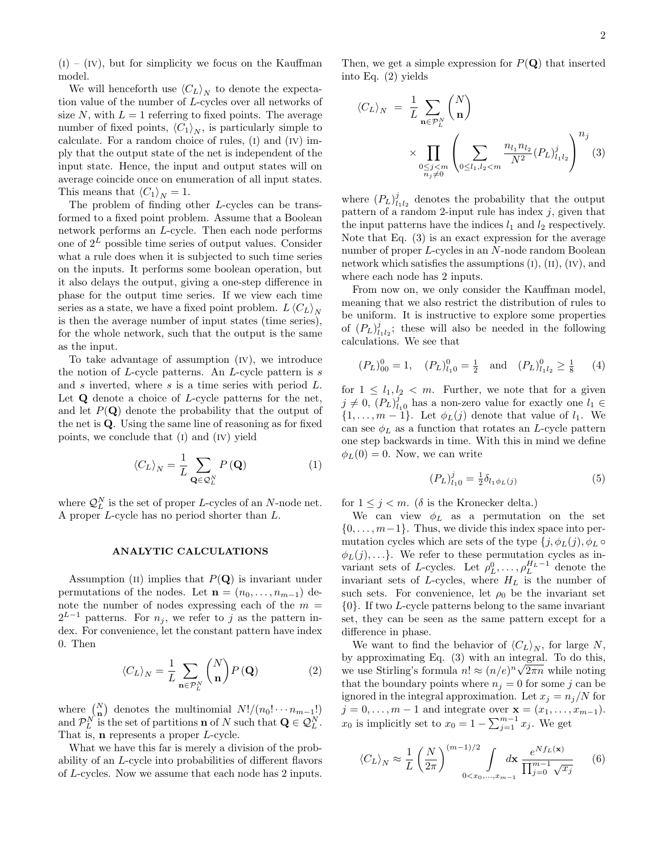$(i) - (iv)$ , but for simplicity we focus on the Kauffman model.

We will henceforth use  $\langle C_L \rangle_N$  to denote the expectation value of the number of L-cycles over all networks of size  $N$ , with  $L = 1$  referring to fixed points. The average number of fixed points,  $\langle C_1 \rangle_N$ , is particularly simple to calculate. For a random choice of rules,  $(I)$  and  $(IV)$  imply that the output state of the net is independent of the input state. Hence, the input and output states will on average coincide once on enumeration of all input states. This means that  $\langle C_1 \rangle_N = 1$ .

The problem of finding other L-cycles can be transformed to a fixed point problem. Assume that a Boolean network performs an L-cycle. Then each node performs one of  $2^L$  possible time series of output values. Consider what a rule does when it is subjected to such time series on the inputs. It performs some boolean operation, but it also delays the output, giving a one-step difference in phase for the output time series. If we view each time series as a state, we have a fixed point problem.  $L\langle C_L \rangle_N$ is then the average number of input states (time series), for the whole network, such that the output is the same as the input.

To take advantage of assumption (iv), we introduce the notion of  $L$ -cycle patterns. An  $L$ -cycle pattern is  $s$ and  $s$  inverted, where  $s$  is a time series with period  $L$ . Let  $Q$  denote a choice of  $L$ -cycle patterns for the net, and let  $P(Q)$  denote the probability that the output of the net is Q. Using the same line of reasoning as for fixed points, we conclude that (i) and (iv) yield

$$
\langle C_L \rangle_N = \frac{1}{L} \sum_{\mathbf{Q} \in \mathcal{Q}_L^N} P(\mathbf{Q}) \tag{1}
$$

where  $\mathcal{Q}_L^N$  is the set of proper L-cycles of an N-node net. A proper L-cycle has no period shorter than L.

#### ANALYTIC CALCULATIONS

Assumption (II) implies that  $P(Q)$  is invariant under permutations of the nodes. Let  $\mathbf{n} = (n_0, \ldots, n_{m-1})$  denote the number of nodes expressing each of the  $m =$  $2^{L-1}$  patterns. For  $n_j$ , we refer to j as the pattern index. For convenience, let the constant pattern have index 0. Then

$$
\langle C_L \rangle_N = \frac{1}{L} \sum_{\mathbf{n} \in \mathcal{P}_L^N} {N \choose \mathbf{n}} P(\mathbf{Q}) \tag{2}
$$

where  $\binom{N}{n}$ ¢ denotes the multinomial  $N!/(n_0! \cdots n_{m-1}!)$ and  $\mathcal{P}_L^N$  is the set of partitions **n** of N such that  $\mathbf{Q} \in \mathcal{Q}_L^N$ . That is, **n** represents a proper *L*-cycle.

What we have this far is merely a division of the probability of an L-cycle into probabilities of different flavors of L-cycles. Now we assume that each node has 2 inputs.

Then, we get a simple expression for  $P(\mathbf{Q})$  that inserted into Eq. (2) yields

$$
\langle C_L \rangle_N = \frac{1}{L} \sum_{\mathbf{n} \in \mathcal{P}_L^N} {N \choose \mathbf{n}} \times \prod_{\substack{0 \le j < m \\ n_j \neq 0}} \left( \sum_{0 \le l_1, l_2 < m} \frac{n_{l_1} n_{l_2}}{N^2} (P_L)_{l_1 l_2}^j \right)^{n_j} (3)
$$

where  $(P_L)_{l_1l_2}^j$  denotes the probability that the output pattern of a random 2-input rule has index  $j$ , given that the input patterns have the indices  $l_1$  and  $l_2$  respectively. Note that Eq. (3) is an exact expression for the average number of proper L-cycles in an N-node random Boolean network which satisfies the assumptions  $(I)$ ,  $(II)$ ,  $(IV)$ , and where each node has 2 inputs.

From now on, we only consider the Kauffman model, meaning that we also restrict the distribution of rules to be uniform. It is instructive to explore some properties of  $(P_L)_{l_1l_2}^j$ ; these will also be needed in the following calculations. We see that

$$
(P_L)_{00}^0 = 1
$$
,  $(P_L)_{l_10}^0 = \frac{1}{2}$  and  $(P_L)_{l_1l_2}^0 \ge \frac{1}{8}$  (4)

for  $1 \leq l_1, l_2 < m$ . Further, we note that for a given  $j \neq 0$ ,  $(P_L)_{l_10}^j$  has a non-zero value for exactly one  $l_1 \in$  $\{1, \ldots, m-1\}$ . Let  $\phi_L(j)$  denote that value of  $l_1$ . We can see  $\phi_L$  as a function that rotates an L-cycle pattern one step backwards in time. With this in mind we define  $\phi_L(0) = 0$ . Now, we can write

$$
(P_L)_{l_10}^j = \frac{1}{2} \delta_{l_1 \phi_L(j)} \tag{5}
$$

for  $1 \leq j \leq m$ . ( $\delta$  is the Kronecker delta.)

We can view  $\phi_L$  as a permutation on the set  $\{0, \ldots, m-1\}$ . Thus, we divide this index space into permutation cycles which are sets of the type  $\{j, \phi_L(j), \phi_L \circ$  $\phi_L(j), \ldots$ . We refer to these permutation cycles as invariant sets of L-cycles. Let  $\rho_L^0, \ldots, \rho_L^{H_L-1}$  denote the invariant sets of  $L$ -cycles, where  $H_L$  is the number of such sets. For convenience, let  $\rho_0$  be the invariant set {0}. If two L-cycle patterns belong to the same invariant set, they can be seen as the same pattern except for a difference in phase.

We want to find the behavior of  $\langle C_L \rangle_N$ , for large N, by approximating Eq.  $(3)$  with an integral. To do this, we use Stirling's formula  $n! \approx (n/e)^n \sqrt{2\pi n}$  while noting that the boundary points where  $n<sub>i</sub> = 0$  for some j can be ignored in the integral approximation. Let  $x_j = n_j/N$  for  $j = 0, \ldots, m - 1$  and integrate over  $\mathbf{x} = (x_1, \ldots, x_{m-1}).$  $x_0$  is implicitly set to  $x_0 = 1 - \sum_{j=1}^{m-1} x_j$ . We get

$$
\langle C_L \rangle_N \approx \frac{1}{L} \left( \frac{N}{2\pi} \right)^{(m-1)/2} \int_{0 < x_0, \dots, x_{m-1}} dx \frac{e^{Nf_L(\mathbf{x})}}{\prod_{j=0}^{m-1} \sqrt{x_j}} \tag{6}
$$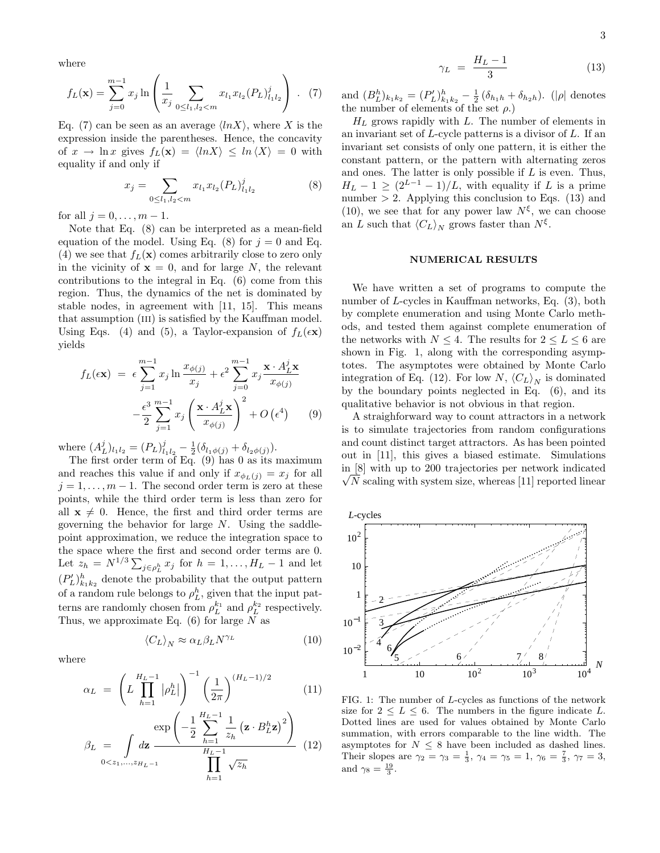where

$$
f_L(\mathbf{x}) = \sum_{j=0}^{m-1} x_j \ln \left( \frac{1}{x_j} \sum_{0 \le l_1, l_2 < m} x_{l_1} x_{l_2} (P_L)_{l_1 l_2}^j \right) . \tag{7}
$$

Eq. (7) can be seen as an average  $\langle lnX \rangle$ , where X is the expression inside the parentheses. Hence, the concavity of  $x \to \ln x$  gives  $f_L(\mathbf{x}) = \langle \ln X \rangle \leq \ln \langle X \rangle = 0$  with equality if and only if

$$
x_j = \sum_{0 \le l_1, l_2 < m} x_{l_1} x_{l_2} (P_L)_{l_1 l_2}^j \tag{8}
$$

for all  $j = 0, ..., m - 1$ .

Note that Eq. (8) can be interpreted as a mean-field equation of the model. Using Eq. (8) for  $j = 0$  and Eq. (4) we see that  $f_L(\mathbf{x})$  comes arbitrarily close to zero only in the vicinity of  $x = 0$ , and for large N, the relevant contributions to the integral in Eq. (6) come from this region. Thus, the dynamics of the net is dominated by stable nodes, in agreement with [11, 15]. This means that assumption (iii) is satisfied by the Kauffman model. Using Eqs. (4) and (5), a Taylor-expansion of  $f_L(\epsilon x)$ yields

$$
f_L(\epsilon \mathbf{x}) = \epsilon \sum_{j=1}^{m-1} x_j \ln \frac{x_{\phi(j)}}{x_j} + \epsilon^2 \sum_{j=0}^{m-1} x_j \frac{\mathbf{x} \cdot A_L^j \mathbf{x}}{x_{\phi(j)}} -\frac{\epsilon^3}{2} \sum_{j=1}^{m-1} x_j \left(\frac{\mathbf{x} \cdot A_L^j \mathbf{x}}{x_{\phi(j)}}\right)^2 + O\left(\epsilon^4\right) \tag{9}
$$

where  $(A_L^j)_{l_1l_2} = (P_L)_{l_1l_2}^j - \frac{1}{2} (\delta_{l_1\phi(j)} + \delta_{l_2\phi(j)}).$ 

The first order term of Eq. (9) has 0 as its maximum and reaches this value if and only if  $x_{\phi_L(j)} = x_j$  for all  $j = 1, \ldots, m - 1$ . The second order term is zero at these points, while the third order term is less than zero for all  $x \neq 0$ . Hence, the first and third order terms are governing the behavior for large N. Using the saddlepoint approximation, we reduce the integration space to the space where the first and second order terms are 0. Let  $z_h = N^{1/3} \sum_{j \in \rho_L^h} x_j$  for  $h = 1, ..., H_L - 1$  and let  $(P'_L)_{k_1k_2}^h$  denote the probability that the output pattern of a random rule belongs to  $\rho_L^h$ , given that the input patterns are randomly chosen from  $\rho_L^{k_1}$  and  $\rho_L^{k_2}$  respectively. Thus, we approximate Eq.  $(6)$  for large N as

 $\langle C_L \rangle_N \approx \alpha_L \beta_L N^{\gamma_L}$ 

where

$$
\alpha_L = \left( L \prod_{h=1}^{H_L - 1} |\rho_L^h| \right)^{-1} \left( \frac{1}{2\pi} \right)^{(H_L - 1)/2} \tag{11}
$$

 $(10)$ 

$$
\beta_L = \int_{0 < z_1, ..., z_{H_L - 1}} \frac{\exp\left(-\frac{1}{2} \sum_{h=1}^{H_L - 1} \frac{1}{z_h} \left(\mathbf{z} \cdot B_L^h \mathbf{z}\right)^2\right)}{\prod_{h=1}^{H_L - 1} \sqrt{z_h}} (12)
$$

$$
\gamma_L = \frac{H_L - 1}{3} \tag{13}
$$

and  $(B_L^h)_{k_1k_2} = (P'_L)_{k_1k_2}^h - \frac{1}{2} (\delta_{h_1h} + \delta_{h_2h}).$  (| $\rho$ | denotes the number of elements of the set  $\rho$ .)

 $H_L$  grows rapidly with L. The number of elements in an invariant set of  $L$ -cycle patterns is a divisor of  $L$ . If an invariant set consists of only one pattern, it is either the constant pattern, or the pattern with alternating zeros and ones. The latter is only possible if  $L$  is even. Thus,  $H_L - 1 \ge (2^{L-1} - 1)/L$ , with equality if L is a prime number  $> 2$ . Applying this conclusion to Eqs. (13) and (10), we see that for any power law  $N^{\xi}$ , we can choose an L such that  $\langle C_L \rangle_N$  grows faster than  $N^{\xi}$ .

### NUMERICAL RESULTS

We have written a set of programs to compute the number of L-cycles in Kauffman networks, Eq. (3), both by complete enumeration and using Monte Carlo methods, and tested them against complete enumeration of the networks with  $N \leq 4$ . The results for  $2 \leq L \leq 6$  are shown in Fig. 1, along with the corresponding asymptotes. The asymptotes were obtained by Monte Carlo integration of Eq. (12). For low N,  $\langle C_L \rangle_N$  is dominated by the boundary points neglected in Eq. (6), and its qualitative behavior is not obvious in that region.

A straighforward way to count attractors in a network is to simulate trajectories from random configurations and count distinct target attractors. As has been pointed out in [11], this gives a biased estimate. Simulations in [8] with up to 200 trajectories per network indicated √  $\sqrt{N}$  scaling with system size, whereas [11] reported linear



FIG. 1: The number of L-cycles as functions of the network size for  $2 \leq L \leq 6$ . The numbers in the figure indicate L. Dotted lines are used for values obtained by Monte Carlo summation, with errors comparable to the line width. The asymptotes for  $N \leq 8$  have been included as dashed lines. Their slopes are  $\gamma_2 = \gamma_3 = \frac{1}{3}$ ,  $\gamma_4 = \gamma_5 = 1$ ,  $\gamma_6 = \frac{7}{3}$ ,  $\gamma_7 = 3$ , and  $\gamma_8 = \frac{19}{3}$ .